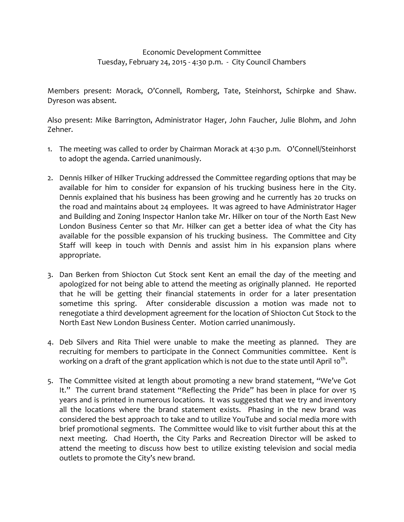## Economic Development Committee Tuesday, February 24, 2015 ‐ 4:30 p.m. ‐ City Council Chambers

Members present: Morack, O'Connell, Romberg, Tate, Steinhorst, Schirpke and Shaw. Dyreson was absent.

Also present: Mike Barrington, Administrator Hager, John Faucher, Julie Blohm, and John Zehner.

- 1. The meeting was called to order by Chairman Morack at 4:30 p.m. O'Connell/Steinhorst to adopt the agenda. Carried unanimously.
- 2. Dennis Hilker of Hilker Trucking addressed the Committee regarding options that may be available for him to consider for expansion of his trucking business here in the City. Dennis explained that his business has been growing and he currently has 20 trucks on the road and maintains about 24 employees. It was agreed to have Administrator Hager and Building and Zoning Inspector Hanlon take Mr. Hilker on tour of the North East New London Business Center so that Mr. Hilker can get a better idea of what the City has available for the possible expansion of his trucking business. The Committee and City Staff will keep in touch with Dennis and assist him in his expansion plans where appropriate.
- 3. Dan Berken from Shiocton Cut Stock sent Kent an email the day of the meeting and apologized for not being able to attend the meeting as originally planned. He reported that he will be getting their financial statements in order for a later presentation sometime this spring. After considerable discussion a motion was made not to renegotiate a third development agreement for the location of Shiocton Cut Stock to the North East New London Business Center. Motion carried unanimously.
- 4. Deb Silvers and Rita Thiel were unable to make the meeting as planned. They are recruiting for members to participate in the Connect Communities committee. Kent is working on a draft of the grant application which is not due to the state until April 10<sup>th</sup>.
- 5. The Committee visited at length about promoting a new brand statement, "We've Got It." The current brand statement "Reflecting the Pride" has been in place for over 15 years and is printed in numerous locations. It was suggested that we try and inventory all the locations where the brand statement exists. Phasing in the new brand was considered the best approach to take and to utilize YouTube and social media more with brief promotional segments. The Committee would like to visit further about this at the next meeting. Chad Hoerth, the City Parks and Recreation Director will be asked to attend the meeting to discuss how best to utilize existing television and social media outlets to promote the City's new brand.